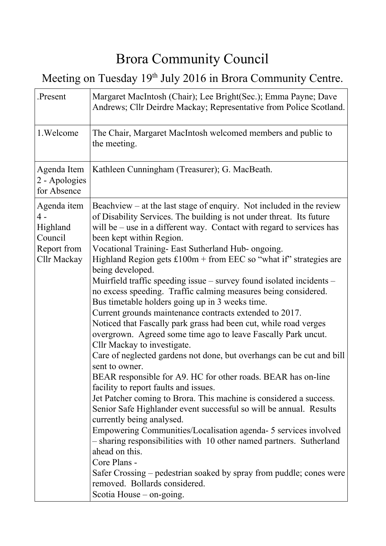## Brora Community Council

## Meeting on Tuesday 19<sup>th</sup> July 2016 in Brora Community Centre.

| .Present                                                                  | Margaret MacIntosh (Chair); Lee Bright(Sec.); Emma Payne; Dave<br>Andrews; Cllr Deirdre Mackay; Representative from Police Scotland.                                                                                                                                                                                                                                                                                                                                                                                                                                                                                                                                                                                                                                                                                                                                                                                                                                                                                                                                                                                                                                                                                                                                                                                                                                                                                                                                                                                             |
|---------------------------------------------------------------------------|----------------------------------------------------------------------------------------------------------------------------------------------------------------------------------------------------------------------------------------------------------------------------------------------------------------------------------------------------------------------------------------------------------------------------------------------------------------------------------------------------------------------------------------------------------------------------------------------------------------------------------------------------------------------------------------------------------------------------------------------------------------------------------------------------------------------------------------------------------------------------------------------------------------------------------------------------------------------------------------------------------------------------------------------------------------------------------------------------------------------------------------------------------------------------------------------------------------------------------------------------------------------------------------------------------------------------------------------------------------------------------------------------------------------------------------------------------------------------------------------------------------------------------|
| 1. Welcome                                                                | The Chair, Margaret MacIntosh welcomed members and public to<br>the meeting.                                                                                                                                                                                                                                                                                                                                                                                                                                                                                                                                                                                                                                                                                                                                                                                                                                                                                                                                                                                                                                                                                                                                                                                                                                                                                                                                                                                                                                                     |
| Agenda Item<br>2 - Apologies<br>for Absence                               | Kathleen Cunningham (Treasurer); G. MacBeath.                                                                                                                                                                                                                                                                                                                                                                                                                                                                                                                                                                                                                                                                                                                                                                                                                                                                                                                                                                                                                                                                                                                                                                                                                                                                                                                                                                                                                                                                                    |
| Agenda item<br>$4 -$<br>Highland<br>Council<br>Report from<br>Cllr Mackay | Beachview $-$ at the last stage of enquiry. Not included in the review<br>of Disability Services. The building is not under threat. Its future<br>will be $-$ use in a different way. Contact with regard to services has<br>been kept within Region.<br>Vocational Training- East Sutherland Hub- ongoing.<br>Highland Region gets $£100m +$ from EEC so "what if" strategies are<br>being developed.<br>Muirfield traffic speeding issue – survey found isolated incidents –<br>no excess speeding. Traffic calming measures being considered.<br>Bus timetable holders going up in 3 weeks time.<br>Current grounds maintenance contracts extended to 2017.<br>Noticed that Fascally park grass had been cut, while road verges<br>overgrown. Agreed some time ago to leave Fascally Park uncut.<br>Cllr Mackay to investigate.<br>Care of neglected gardens not done, but overhangs can be cut and bill<br>sent to owner.<br>BEAR responsible for A9. HC for other roads. BEAR has on-line<br>facility to report faults and issues.<br>Jet Patcher coming to Brora. This machine is considered a success.<br>Senior Safe Highlander event successful so will be annual. Results<br>currently being analysed.<br>Empowering Communities/Localisation agenda- 5 services involved<br>- sharing responsibilities with 10 other named partners. Sutherland<br>ahead on this.<br>Core Plans -<br>Safer Crossing – pedestrian soaked by spray from puddle; cones were<br>removed. Bollards considered.<br>Scotia House – on-going. |